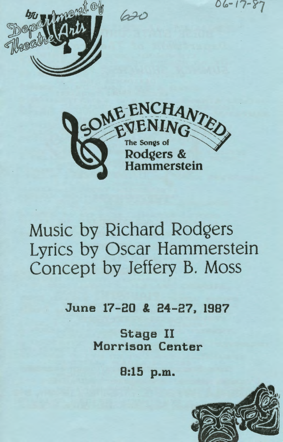620

 $06 - 17 - 87$ 





# Music by Richard Rodgers Lyrics by Oscar Hammerstein Concept by Jeffery B. Moss

June 17-20 & 24-27, 1987

Stage II Morrison Center

8:15 p.m.

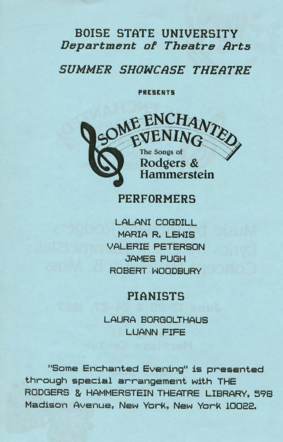### BOISE STATE UNIVERSITY *Department of Theatre Arts*

#### SUMMER SHOWCASE THEATRE

PRESENTS



#### **PERFORMERS**

LALANI COGDILL MARIA R. LEWIS LE~~HS VALERIE PETERSON JAMES PUGH ROBERT WOODBURY

#### PIANISTS

LAURA BORGOLTHAUS LUANN FIFE

"Some Enchanted Evening" is presented through special arrangement with THE RODGERS & HAMMERSTEIN THEATRE LIBRARY, 598 Madison Avenue, New YorK, New YorK 10022.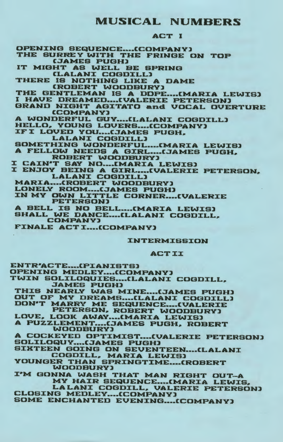#### MUSICAL NUMBERS

#### ACT I

OPENING SEQUENCE....(COMPANY) THE SURREY WITH THE FRINGE ON TOP **CJAMES PUGH)** IT MIGHT AS WELL BE SPRING [LALANI COGDILL] 'THERE IS NOTHING LIKE A DAME CROBERT WOODBURY] THE GENTLEMAN IS A DDPE....(MARIA LEWIS)<br>I HAVE DREAMED....(VALERIE PETERSON) GRAND NIGHT AGITATO and VOCAL OVERTURE CCOMPANYl A WONDERFUL GUY....(LALANI COGDILL) HELLO, YOUNG LOVERS....(COMPANY) IF I LOVED YOU.... (JAMES PUGH. LALANI COGDILL] SOMETHING WONDERFUL..... (MARIA LEWIS) A FELLOW NEEDS A GIRL GJAMES PUGH, I CAIN'T SAY NO ... [MARIA LEWIS] I ENJOY BEING A GIRL .... (VALERIE PETERSON. LALANI COGDILL] MARIA....(ROBERT WOODBURY) LONELY ROOM....(JAMES PUGH) IN MY OWN LITTLE CORNER.... (VALERIE PETERSON] A BELL IS NO BELL....(MARIA LEWIS) SHALL WE DANCE....(LALANI COGDILL. COMPANYl FINALE ACT I....(COMPANY) INTERMISSION ACT II

ENTR'ACTE....(PIANISTS) OPENING MEDLEY....(COMPANY) TWIN SOLILOQUIES .... (LALANI COGDILL, .:JAMES PUGH] THIS NEARLY WAS MINE....(JAMES PUGH) OUT OF MY DREAMS....(LALANI COGDILL)

DON'T MARRY ME SEQUENCE....(VALERIE<br>PETERSON, ROBERT WOODBURY) LOVE, LOOK AWAY .... (MARIA LEWIS)

A PUZZLEMENT....(JAMES PUGH, ROBERT WOODBURYl

A COCKEYED OPTIMIST.... (VALERIE PETERSON) SOLILOQUY .... (JAMES PUGH)

SIXTEEN GOING ON SEVENTEEN....(LALANI COGDILL, MARIA LEWIS)

YOUNGER THAN SPRINGTIME....(ROBERT WOODBURY]

I'M GONNA WASH THAT MAN RIGHT OUT-A MY HAIR SEQUENCE.... (MARIA LEWIS,

LA LANI COGDILL, VALERIE PETERSON)<br>CLOSING MEDLEY .... (COMPANY) SOME ENCHANTED EVENING....(COMPANY)